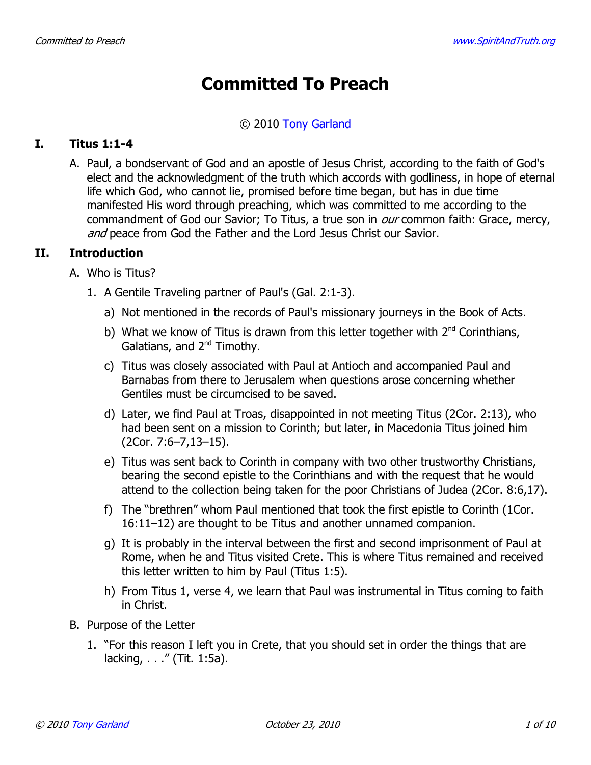# **Committed To Preach**

### © 2010 Tony Garland

#### $\mathbf{T}$ . **Titus 1:1-4**

A. Paul, a bondservant of God and an apostle of Jesus Christ, according to the faith of God's elect and the acknowledgment of the truth which accords with godliness, in hope of eternal life which God, who cannot lie, promised before time began, but has in due time manifested His word through preaching, which was committed to me according to the commandment of God our Savior; To Titus, a true son in *our* common faith: Grace, mercy, and peace from God the Father and the Lord Jesus Christ our Savior.

#### TT. **Introduction**

- A. Who is Titus?
	- 1. A Gentile Traveling partner of Paul's (Gal. 2:1-3).
		- a) Not mentioned in the records of Paul's missionary journeys in the Book of Acts.
		- b) What we know of Titus is drawn from this letter together with  $2^{nd}$  Corinthians, Galatians, and 2<sup>nd</sup> Timothy.
		- c) Titus was closely associated with Paul at Antioch and accompanied Paul and Barnabas from there to Jerusalem when questions arose concerning whether Gentiles must be circumcised to be saved.
		- d) Later, we find Paul at Troas, disappointed in not meeting Titus (2Cor. 2:13), who had been sent on a mission to Corinth; but later, in Macedonia Titus joined him  $(2Cor. 7:6-7,13-15).$
		- e) Titus was sent back to Corinth in company with two other trustworthy Christians, bearing the second epistle to the Corinthians and with the request that he would attend to the collection being taken for the poor Christians of Judea (2Cor. 8:6,17).
		- f) The "brethren" whom Paul mentioned that took the first epistle to Corinth (1Cor. 16:11-12) are thought to be Titus and another unnamed companion.
		- g) It is probably in the interval between the first and second imprisonment of Paul at Rome, when he and Titus visited Crete. This is where Titus remained and received this letter written to him by Paul (Titus 1:5).
		- h) From Titus 1, verse 4, we learn that Paul was instrumental in Titus coming to faith in Christ.
- B. Purpose of the Letter
	- 1. "For this reason I left you in Crete, that you should set in order the things that are lacking, . . ." (Tit. 1:5a).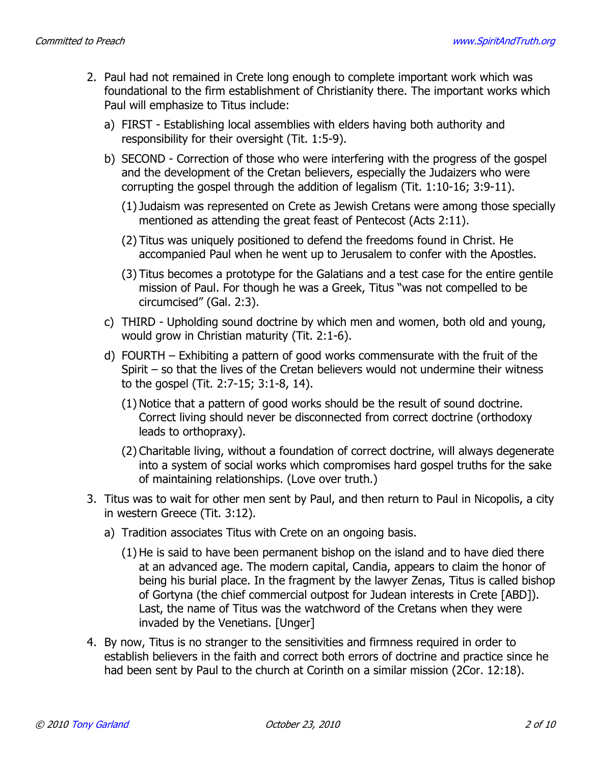- 2. Paul had not remained in Crete long enough to complete important work which was foundational to the firm establishment of Christianity there. The important works which Paul will emphasize to Titus include:
	- a) FIRST Establishing local assemblies with elders having both authority and responsibility for their oversight (Tit. 1:5-9).
	- b) SECOND Correction of those who were interfering with the progress of the gospel and the development of the Cretan believers, especially the Judaizers who were corrupting the gospel through the addition of legalism (Tit. 1:10-16; 3:9-11).
		- (1) Judaism was represented on Crete as Jewish Cretans were among those specially mentioned as attending the great feast of Pentecost (Acts 2:11).
		- (2) Titus was uniquely positioned to defend the freedoms found in Christ. He accompanied Paul when he went up to Jerusalem to confer with the Apostles.
		- (3) Titus becomes a prototype for the Galatians and a test case for the entire gentile mission of Paul. For though he was a Greek, Titus "was not compelled to be circumcised" (Gal. 2:3).
	- c) THIRD Upholding sound doctrine by which men and women, both old and young, would grow in Christian maturity (Tit. 2:1-6).
	- d) FOURTH Exhibiting a pattern of good works commensurate with the fruit of the Spirit  $-$  so that the lives of the Cretan believers would not undermine their witness to the gospel (Tit. 2:7-15; 3:1-8, 14).
		- (1) Notice that a pattern of good works should be the result of sound doctrine. Correct living should never be disconnected from correct doctrine (orthodoxy leads to orthopraxy).
		- (2) Charitable living, without a foundation of correct doctrine, will always degenerate into a system of social works which compromises hard gospel truths for the sake of maintaining relationships. (Love over truth.)
- 3. Titus was to wait for other men sent by Paul, and then return to Paul in Nicopolis, a city in western Greece (Tit. 3:12).
	- a) Tradition associates Titus with Crete on an ongoing basis.
		- (1) He is said to have been permanent bishop on the island and to have died there at an advanced age. The modern capital, Candia, appears to claim the honor of being his burial place. In the fragment by the lawyer Zenas, Titus is called bishop of Gortyna (the chief commercial outpost for Judean interests in Crete [ABD]). Last, the name of Titus was the watchword of the Cretans when they were invaded by the Venetians. [Unger]
- 4. By now, Titus is no stranger to the sensitivities and firmness required in order to establish believers in the faith and correct both errors of doctrine and practice since he had been sent by Paul to the church at Corinth on a similar mission (2Cor. 12:18).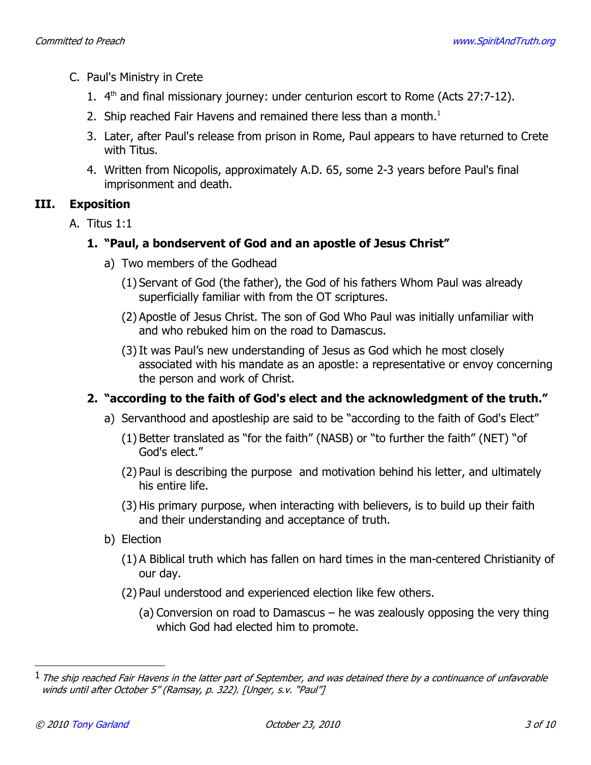- C. Paul's Ministry in Crete
	- 1. 4<sup>th</sup> and final missionary journey: under centurion escort to Rome (Acts 27:7-12).
	- 2. Ship reached Fair Havens and remained there less than a month.<sup>1</sup>
	- 3. Later, after Paul's release from prison in Rome, Paul appears to have returned to Crete with Titus.
	- 4. Written from Nicopolis, approximately A.D. 65, some 2-3 years before Paul's final imprisonment and death.

#### III. **Exposition**

A. Titus 1:1

# 1. "Paul, a bondservent of God and an apostle of Jesus Christ"

- a) Two members of the Godhead
	- (1) Servant of God (the father), the God of his fathers Whom Paul was already superficially familiar with from the OT scriptures.
	- (2) Apostle of Jesus Christ. The son of God Who Paul was initially unfamiliar with and who rebuked him on the road to Damascus.
	- (3) It was Paul's new understanding of Jesus as God which he most closely associated with his mandate as an apostle: a representative or envoy concerning the person and work of Christ.

# 2. "according to the faith of God's elect and the acknowledgment of the truth."

- a) Servanthood and apostleship are said to be "according to the faith of God's Elect"
	- (1) Better translated as "for the faith" (NASB) or "to further the faith" (NET) "of God's elect."
	- (2) Paul is describing the purpose and motivation behind his letter, and ultimately his entire life.
	- (3) His primary purpose, when interacting with believers, is to build up their faith and their understanding and acceptance of truth.
- b) Election
	- (1) A Biblical truth which has fallen on hard times in the man-centered Christianity of our day.
	- (2) Paul understood and experienced election like few others.
		- (a) Conversion on road to Damascus  $-$  he was zealously opposing the very thing which God had elected him to promote.

 $^1$  The ship reached Fair Havens in the latter part of September, and was detained there by a continuance of unfavorable winds until after October 5" (Ramsay, p. 322). [Unger, s.v. "Paul"]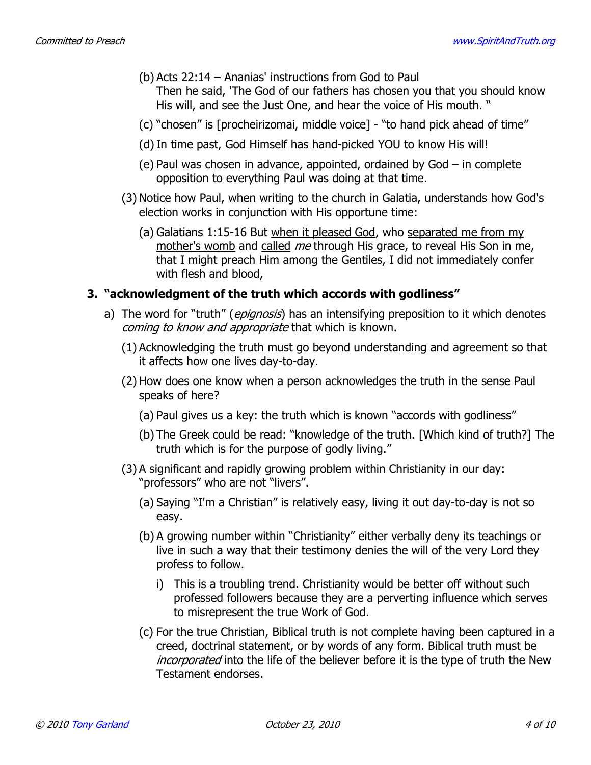- (b) Acts  $22:14$  Ananias' instructions from God to Paul Then he said, 'The God of our fathers has chosen you that you should know His will, and see the Just One, and hear the voice of His mouth. "
- (c) "chosen" is [procheirizomai, middle voice] "to hand pick ahead of time"
- (d) In time past, God Himself has hand-picked YOU to know His will!
- (e) Paul was chosen in advance, appointed, ordained by  $God in complete$ opposition to everything Paul was doing at that time.
- (3) Notice how Paul, when writing to the church in Galatia, understands how God's election works in conjunction with His opportune time:
	- (a) Galatians 1:15-16 But when it pleased God, who separated me from my mother's womb and called me through His grace, to reveal His Son in me, that I might preach Him among the Gentiles, I did not immediately confer with flesh and blood,

### 3. "acknowledgment of the truth which accords with godliness"

- a) The word for "truth" (*epignosis*) has an intensifying preposition to it which denotes coming to know and appropriate that which is known.
	- (1) Acknowledging the truth must go beyond understanding and agreement so that it affects how one lives day-to-day.
	- (2) How does one know when a person acknowledges the truth in the sense Paul speaks of here?
		- (a) Paul gives us a key: the truth which is known "accords with godliness"
		- (b) The Greek could be read: "knowledge of the truth. [Which kind of truth?] The truth which is for the purpose of godly living."
	- (3) A significant and rapidly growing problem within Christianity in our day: "professors" who are not "livers".
		- (a) Saying "I'm a Christian" is relatively easy, living it out day-to-day is not so easy.
		- (b) A growing number within "Christianity" either verbally deny its teachings or live in such a way that their testimony denies the will of the very Lord they profess to follow.
			- i) This is a troubling trend. Christianity would be better off without such professed followers because they are a perverting influence which serves to misrepresent the true Work of God.
		- (c) For the true Christian, Biblical truth is not complete having been captured in a creed, doctrinal statement, or by words of any form. Biblical truth must be *incorporated* into the life of the believer before it is the type of truth the New Testament endorses.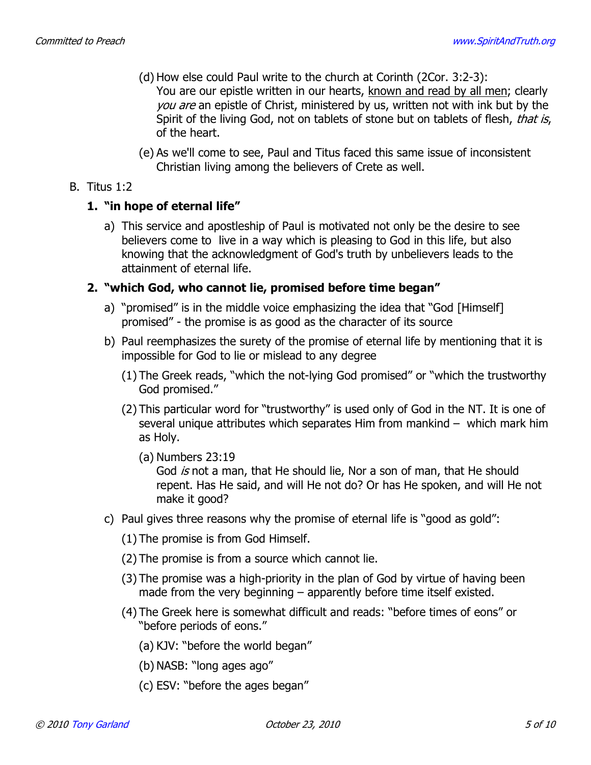- (d) How else could Paul write to the church at Corinth (2Cor. 3:2-3): You are our epistle written in our hearts, known and read by all men; clearly you are an epistle of Christ, ministered by us, written not with ink but by the Spirit of the living God, not on tablets of stone but on tablets of flesh, that is, of the heart.
- (e) As we'll come to see, Paul and Titus faced this same issue of inconsistent Christian living among the believers of Crete as well.

### $B.$  Titus 1:2

### 1. "in hope of eternal life"

a) This service and apostleship of Paul is motivated not only be the desire to see believers come to live in a way which is pleasing to God in this life, but also knowing that the acknowledgment of God's truth by unbelievers leads to the attainment of eternal life.

### 2. "which God, who cannot lie, promised before time began"

- a) "promised" is in the middle voice emphasizing the idea that "God [Himself] promised" - the promise is as good as the character of its source
- b) Paul reemphasizes the surety of the promise of eternal life by mentioning that it is impossible for God to lie or mislead to any degree
	- (1) The Greek reads, "which the not-lying God promised" or "which the trustworthy God promised."
	- (2) This particular word for "trustworthy" is used only of God in the NT. It is one of several unique attributes which separates Him from mankind - which mark him as Holy.
		- $(a)$  Numbers 23:19

God is not a man, that He should lie, Nor a son of man, that He should repent. Has He said, and will He not do? Or has He spoken, and will He not make it good?

- c) Paul gives three reasons why the promise of eternal life is "good as gold":
	- (1) The promise is from God Himself.
	- (2) The promise is from a source which cannot lie.
	- (3) The promise was a high-priority in the plan of God by virtue of having been made from the very beginning  $-$  apparently before time itself existed.
	- (4) The Greek here is somewhat difficult and reads: "before times of eons" or "before periods of eons."
		- (a) KJV: "before the world began"
		- (b) NASB: "long ages ago"
		- (c) ESV: "before the ages began"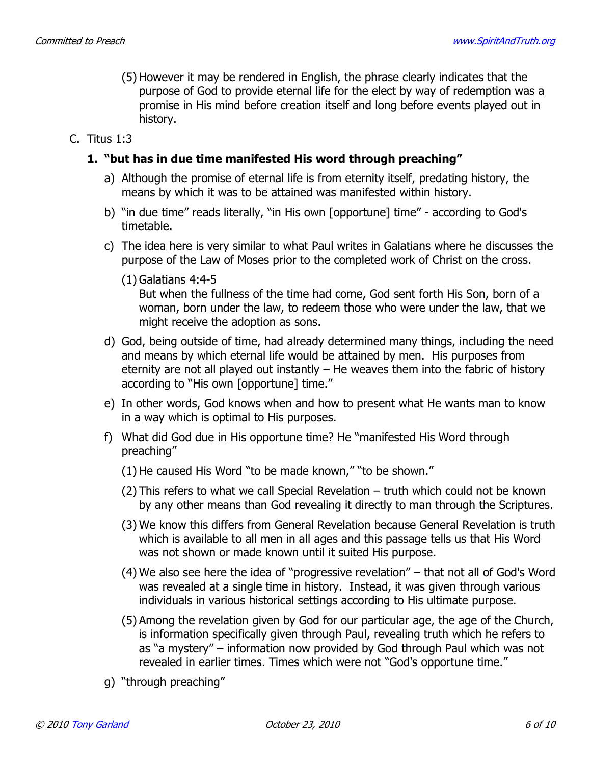- (5) However it may be rendered in English, the phrase clearly indicates that the purpose of God to provide eternal life for the elect by way of redemption was a promise in His mind before creation itself and long before events played out in history.
- C. Titus  $1:3$

### 1. "but has in due time manifested His word through preaching"

- a) Although the promise of eternal life is from eternity itself, predating history, the means by which it was to be attained was manifested within history.
- b) "in due time" reads literally, "in His own [opportune] time" according to God's timetable.
- c) The idea here is very similar to what Paul writes in Galatians where he discusses the purpose of the Law of Moses prior to the completed work of Christ on the cross.
	- $(1)$  Galatians 4:4-5

But when the fullness of the time had come, God sent forth His Son, born of a woman, born under the law, to redeem those who were under the law, that we might receive the adoption as sons.

- d) God, being outside of time, had already determined many things, including the need and means by which eternal life would be attained by men. His purposes from eternity are not all played out instantly  $-$  He weaves them into the fabric of history according to "His own [opportune] time."
- e) In other words, God knows when and how to present what He wants man to know in a way which is optimal to His purposes.
- f) What did God due in His opportune time? He "manifested His Word through preaching"
	- (1) He caused His Word "to be made known," "to be shown."
	- (2) This refers to what we call Special Revelation truth which could not be known by any other means than God revealing it directly to man through the Scriptures.
	- (3) We know this differs from General Revelation because General Revelation is truth which is available to all men in all ages and this passage tells us that His Word was not shown or made known until it suited His purpose.
	- (4) We also see here the idea of "progressive revelation" that not all of God's Word was revealed at a single time in history. Instead, it was given through various individuals in various historical settings according to His ultimate purpose.
	- (5) Among the revelation given by God for our particular age, the age of the Church, is information specifically given through Paul, revealing truth which he refers to as "a mystery" - information now provided by God through Paul which was not revealed in earlier times. Times which were not "God's opportune time."
- q) "through preaching"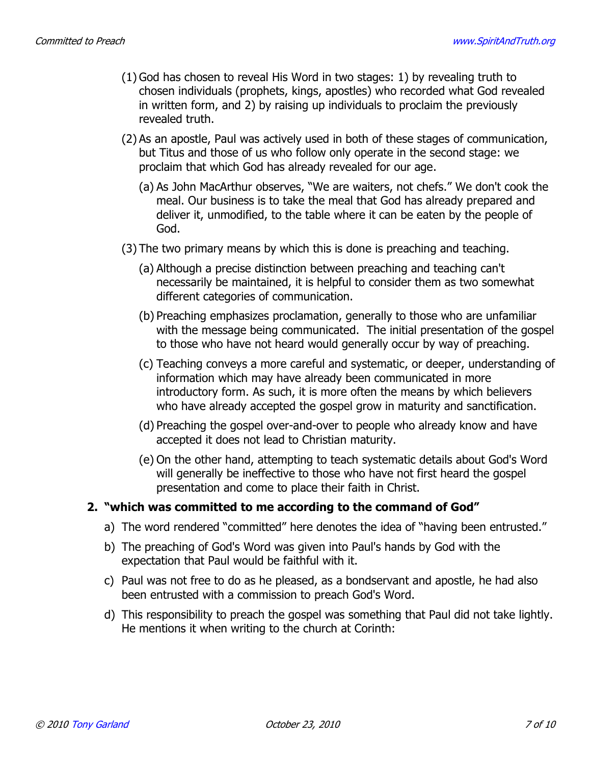- (1) God has chosen to reveal His Word in two stages: 1) by revealing truth to chosen individuals (prophets, kings, apostles) who recorded what God revealed in written form, and 2) by raising up individuals to proclaim the previously revealed truth.
- (2) As an apostle, Paul was actively used in both of these stages of communication, but Titus and those of us who follow only operate in the second stage: we proclaim that which God has already revealed for our age.
	- (a) As John MacArthur observes, "We are waiters, not chefs." We don't cook the meal. Our business is to take the meal that God has already prepared and deliver it, unmodified, to the table where it can be eaten by the people of God.
- (3) The two primary means by which this is done is preaching and teaching.
	- (a) Although a precise distinction between preaching and teaching can't necessarily be maintained, it is helpful to consider them as two somewhat different categories of communication.
	- (b) Preaching emphasizes proclamation, generally to those who are unfamiliar with the message being communicated. The initial presentation of the gospel to those who have not heard would generally occur by way of preaching.
	- (c) Teaching conveys a more careful and systematic, or deeper, understanding of information which may have already been communicated in more introductory form. As such, it is more often the means by which believers who have already accepted the gospel grow in maturity and sanctification.
	- (d) Preaching the gospel over-and-over to people who already know and have accepted it does not lead to Christian maturity.
	- (e) On the other hand, attempting to teach systematic details about God's Word will generally be ineffective to those who have not first heard the gospel presentation and come to place their faith in Christ.

# 2. "which was committed to me according to the command of God"

- a) The word rendered "committed" here denotes the idea of "having been entrusted."
- b) The preaching of God's Word was given into Paul's hands by God with the expectation that Paul would be faithful with it.
- c) Paul was not free to do as he pleased, as a bondservant and apostle, he had also been entrusted with a commission to preach God's Word.
- d) This responsibility to preach the gospel was something that Paul did not take lightly. He mentions it when writing to the church at Corinth: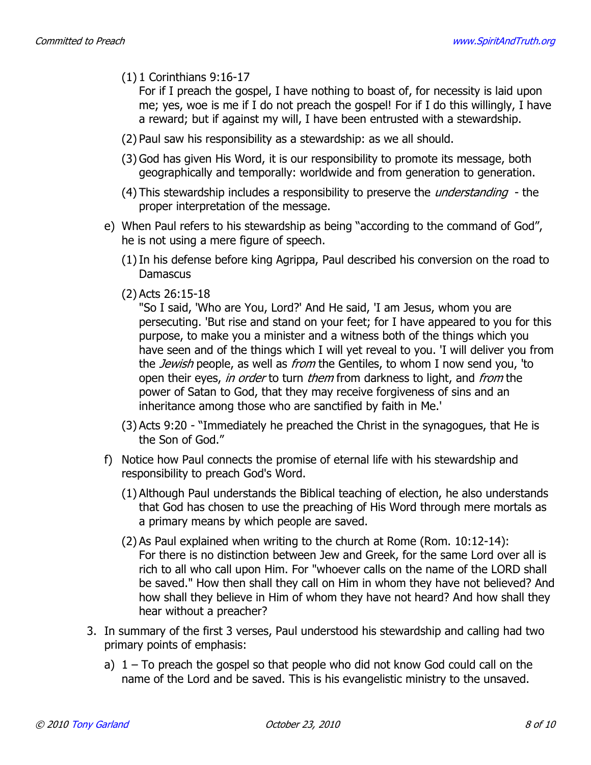$(1)$  1 Corinthians 9:16-17

For if I preach the gospel, I have nothing to boast of, for necessity is laid upon me; yes, woe is me if I do not preach the gospel! For if I do this willingly, I have a reward; but if against my will, I have been entrusted with a stewardship.

- (2) Paul saw his responsibility as a stewardship: as we all should.
- (3) God has given His Word, it is our responsibility to promote its message, both geographically and temporally: worldwide and from generation to generation.
- (4) This stewardship includes a responsibility to preserve the *understanding* the proper interpretation of the message.
- e) When Paul refers to his stewardship as being "according to the command of God", he is not using a mere figure of speech.
	- (1) In his defense before king Agrippa, Paul described his conversion on the road to **Damascus**
	- $(2)$  Acts  $26:15-18$

"So I said, 'Who are You, Lord?' And He said, 'I am Jesus, whom you are persecuting. 'But rise and stand on your feet; for I have appeared to you for this purpose, to make you a minister and a witness both of the things which you have seen and of the things which I will yet reveal to you. 'I will deliver you from the *Jewish* people, as well as *from* the Gentiles, to whom I now send you, 'to open their eyes, in order to turn them from darkness to light, and from the power of Satan to God, that they may receive forgiveness of sins and an inheritance among those who are sanctified by faith in Me.'

- (3) Acts 9:20 "Immediately he preached the Christ in the synagogues, that He is the Son of God."
- f) Notice how Paul connects the promise of eternal life with his stewardship and responsibility to preach God's Word.
	- (1) Although Paul understands the Biblical teaching of election, he also understands that God has chosen to use the preaching of His Word through mere mortals as a primary means by which people are saved.
	- (2) As Paul explained when writing to the church at Rome (Rom. 10:12-14): For there is no distinction between Jew and Greek, for the same Lord over all is rich to all who call upon Him. For "whoever calls on the name of the LORD shall be saved." How then shall they call on Him in whom they have not believed? And how shall they believe in Him of whom they have not heard? And how shall they hear without a preacher?
- 3. In summary of the first 3 verses, Paul understood his stewardship and calling had two primary points of emphasis:
	- a)  $1 -$  To preach the gospel so that people who did not know God could call on the name of the Lord and be saved. This is his evangelistic ministry to the unsaved.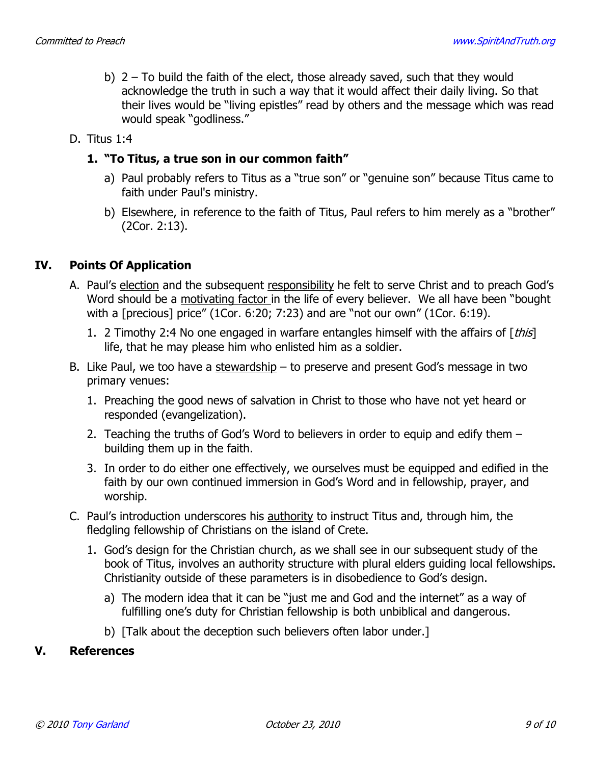b)  $2$  – To build the faith of the elect, those already saved, such that they would acknowledge the truth in such a way that it would affect their daily living. So that their lives would be "living epistles" read by others and the message which was read would speak "godliness."

### D. Titus 1:4

### 1. "To Titus, a true son in our common faith"

- a) Paul probably refers to Titus as a "true son" or "genuine son" because Titus came to faith under Paul's ministry.
- b) Elsewhere, in reference to the faith of Titus, Paul refers to him merely as a "brother"  $(2Cor. 2:13).$

#### IV. **Points Of Application**

- A. Paul's election and the subsequent responsibility he felt to serve Christ and to preach God's Word should be a motivating factor in the life of every believer. We all have been "bought" with a [precious] price" (1Cor. 6:20; 7:23) and are "not our own" (1Cor. 6:19).
	- 1. 2 Timothy 2:4 No one engaged in warfare entangles himself with the affairs of [this] life, that he may please him who enlisted him as a soldier.
- B. Like Paul, we too have a stewardship to preserve and present God's message in two primary venues:
	- 1. Preaching the good news of salvation in Christ to those who have not yet heard or responded (evangelization).
	- 2. Teaching the truths of God's Word to believers in order to equip and edify them building them up in the faith.
	- 3. In order to do either one effectively, we ourselves must be equipped and edified in the faith by our own continued immersion in God's Word and in fellowship, prayer, and worship.
- C. Paul's introduction underscores his authority to instruct Titus and, through him, the fledgling fellowship of Christians on the island of Crete.
	- 1. God's design for the Christian church, as we shall see in our subsequent study of the book of Titus, involves an authority structure with plural elders quiding local fellowships. Christianity outside of these parameters is in disobedience to God's design.
		- a) The modern idea that it can be "just me and God and the internet" as a way of fulfilling one's duty for Christian fellowship is both unbiblical and dangerous.
		- b) [Talk about the deception such believers often labor under.]

#### V. **References**